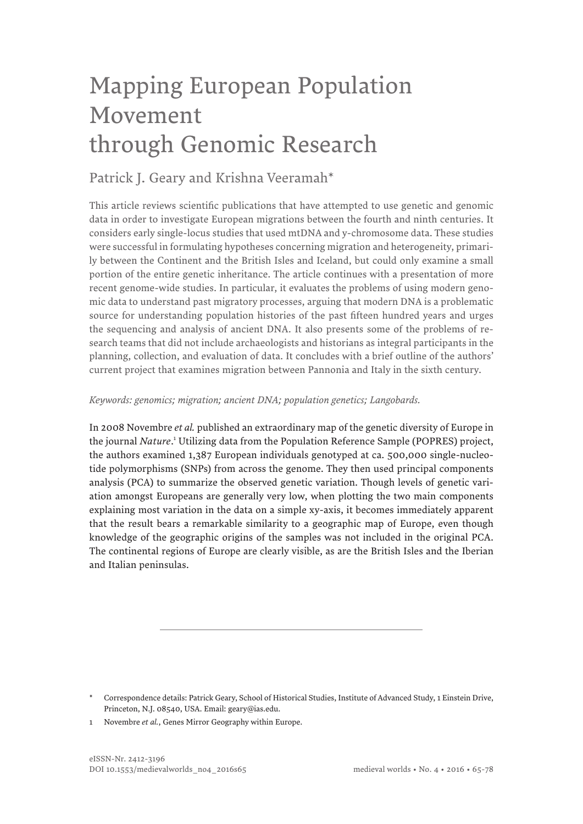# Mapping European Population Movement through Genomic Research

### Patrick J. Geary and Krishna Veeramah\*

This article reviews scientific publications that have attempted to use genetic and genomic data in order to investigate European migrations between the fourth and ninth centuries. It considers early single-locus studies that used mtDNA and y-chromosome data. These studies were successful in formulating hypotheses concerning migration and heterogeneity, primarily between the Continent and the British Isles and Iceland, but could only examine a small portion of the entire genetic inheritance. The article continues with a presentation of more recent genome-wide studies. In particular, it evaluates the problems of using modern genomic data to understand past migratory processes, arguing that modern DNA is a problematic source for understanding population histories of the past fifteen hundred years and urges the sequencing and analysis of ancient DNA. It also presents some of the problems of research teams that did not include archaeologists and historians as integral participants in the planning, collection, and evaluation of data. It concludes with a brief outline of the authors' current project that examines migration between Pannonia and Italy in the sixth century.

#### *Keywords: genomics; migration; ancient DNA; population genetics; Langobards.*

In 2008 Novembre *et al.* published an extraordinary map of the genetic diversity of Europe in the journal *Nature*.<sup>1</sup> Utilizing data from the Population Reference Sample (POPRES) project, the authors examined 1,387 European individuals genotyped at ca. 500,000 single-nucleotide polymorphisms (SNPs) from across the genome. They then used principal components analysis (PCA) to summarize the observed genetic variation. Though levels of genetic variation amongst Europeans are generally very low, when plotting the two main components explaining most variation in the data on a simple xy-axis, it becomes immediately apparent that the result bears a remarkable similarity to a geographic map of Europe, even though knowledge of the geographic origins of the samples was not included in the original PCA. The continental regions of Europe are clearly visible, as are the British Isles and the Iberian and Italian peninsulas.

<sup>\*</sup> Correspondence details: Patrick Geary, School of Historical Studies, Institute of Advanced Study, 1 Einstein Drive, Princeton, N.J. 08540, USA. Email: geary@ias.edu.

Novembre *et al.*, Genes Mirror Geography within Europe.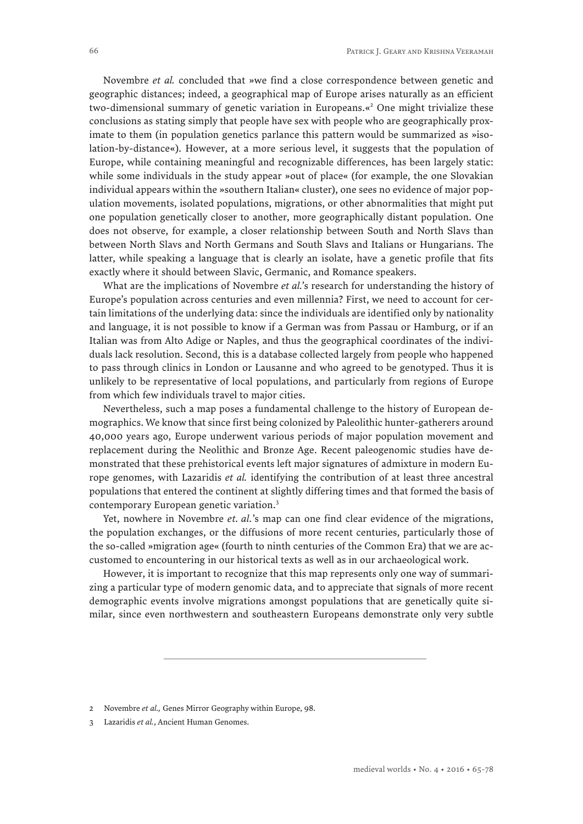Novembre *et al.* concluded that »we find a close correspondence between genetic and geographic distances; indeed, a geographical map of Europe arises naturally as an efficient two-dimensional summary of genetic variation in Europeans.«<sup>2</sup> One might trivialize these conclusions as stating simply that people have sex with people who are geographically proximate to them (in population genetics parlance this pattern would be summarized as »isolation-by-distance«). However, at a more serious level, it suggests that the population of Europe, while containing meaningful and recognizable differences, has been largely static: while some individuals in the study appear »out of place« (for example, the one Slovakian individual appears within the »southern Italian« cluster), one sees no evidence of major population movements, isolated populations, migrations, or other abnormalities that might put one population genetically closer to another, more geographically distant population. One does not observe, for example, a closer relationship between South and North Slavs than between North Slavs and North Germans and South Slavs and Italians or Hungarians. The latter, while speaking a language that is clearly an isolate, have a genetic profile that fits exactly where it should between Slavic, Germanic, and Romance speakers.

What are the implications of Novembre *et al.*'s research for understanding the history of Europe's population across centuries and even millennia? First, we need to account for certain limitations of the underlying data: since the individuals are identified only by nationality and language, it is not possible to know if a German was from Passau or Hamburg, or if an Italian was from Alto Adige or Naples, and thus the geographical coordinates of the individuals lack resolution. Second, this is a database collected largely from people who happened to pass through clinics in London or Lausanne and who agreed to be genotyped. Thus it is unlikely to be representative of local populations, and particularly from regions of Europe from which few individuals travel to major cities.

Nevertheless, such a map poses a fundamental challenge to the history of European demographics. We know that since first being colonized by Paleolithic hunter-gatherers around 40,000 years ago, Europe underwent various periods of major population movement and replacement during the Neolithic and Bronze Age. Recent paleogenomic studies have demonstrated that these prehistorical events left major signatures of admixture in modern Europe genomes, with Lazaridis *et al.* identifying the contribution of at least three ancestral populations that entered the continent at slightly differing times and that formed the basis of contemporary European genetic variation.3

Yet, nowhere in Novembre *et. al.*'s map can one find clear evidence of the migrations, the population exchanges, or the diffusions of more recent centuries, particularly those of the so-called »migration age« (fourth to ninth centuries of the Common Era) that we are accustomed to encountering in our historical texts as well as in our archaeological work.

However, it is important to recognize that this map represents only one way of summarizing a particular type of modern genomic data, and to appreciate that signals of more recent demographic events involve migrations amongst populations that are genetically quite similar, since even northwestern and southeastern Europeans demonstrate only very subtle

<sup>2</sup> Novembre *et al.,* Genes Mirror Geography within Europe, 98.

<sup>3</sup> Lazaridis *et al.*, Ancient Human Genomes.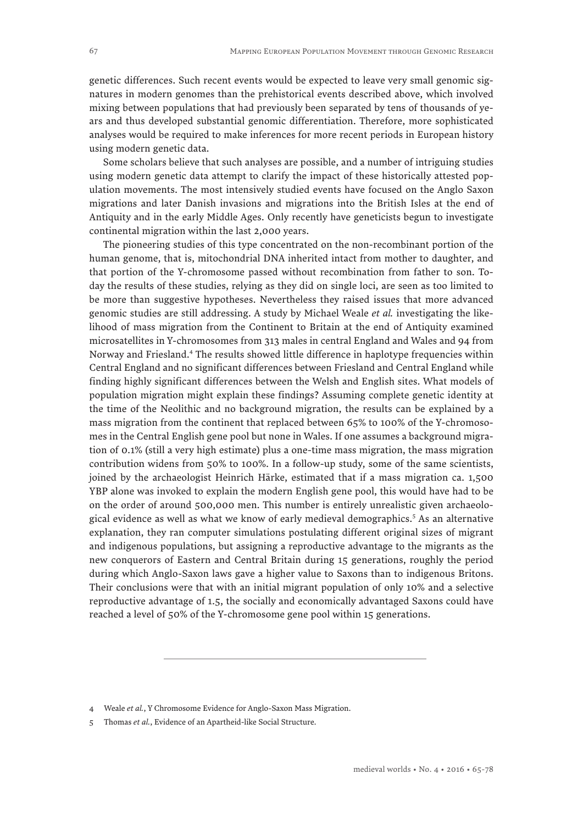genetic differences. Such recent events would be expected to leave very small genomic signatures in modern genomes than the prehistorical events described above, which involved mixing between populations that had previously been separated by tens of thousands of years and thus developed substantial genomic differentiation. Therefore, more sophisticated analyses would be required to make inferences for more recent periods in European history using modern genetic data.

Some scholars believe that such analyses are possible, and a number of intriguing studies using modern genetic data attempt to clarify the impact of these historically attested population movements. The most intensively studied events have focused on the Anglo Saxon migrations and later Danish invasions and migrations into the British Isles at the end of Antiquity and in the early Middle Ages. Only recently have geneticists begun to investigate continental migration within the last 2,000 years.

The pioneering studies of this type concentrated on the non-recombinant portion of the human genome, that is, mitochondrial DNA inherited intact from mother to daughter, and that portion of the Y-chromosome passed without recombination from father to son. Today the results of these studies, relying as they did on single loci, are seen as too limited to be more than suggestive hypotheses. Nevertheless they raised issues that more advanced genomic studies are still addressing. A study by Michael Weale *et al.* investigating the likelihood of mass migration from the Continent to Britain at the end of Antiquity examined microsatellites in Y-chromosomes from 313 males in central England and Wales and 94 from Norway and Friesland.<sup>4</sup> The results showed little difference in haplotype frequencies within Central England and no significant differences between Friesland and Central England while finding highly significant differences between the Welsh and English sites. What models of population migration might explain these findings? Assuming complete genetic identity at the time of the Neolithic and no background migration, the results can be explained by a mass migration from the continent that replaced between 65% to 100% of the Y-chromosomes in the Central English gene pool but none in Wales. If one assumes a background migration of 0.1% (still a very high estimate) plus a one-time mass migration, the mass migration contribution widens from 50% to 100%. In a follow-up study, some of the same scientists, joined by the archaeologist Heinrich Härke, estimated that if a mass migration ca. 1,500 YBP alone was invoked to explain the modern English gene pool, this would have had to be on the order of around 500,000 men. This number is entirely unrealistic given archaeological evidence as well as what we know of early medieval demographics.<sup>5</sup> As an alternative explanation, they ran computer simulations postulating different original sizes of migrant and indigenous populations, but assigning a reproductive advantage to the migrants as the new conquerors of Eastern and Central Britain during 15 generations, roughly the period during which Anglo-Saxon laws gave a higher value to Saxons than to indigenous Britons. Their conclusions were that with an initial migrant population of only 10% and a selective reproductive advantage of 1.5, the socially and economically advantaged Saxons could have reached a level of 50% of the Y-chromosome gene pool within 15 generations.

<sup>4</sup> Weale *et al.*, Y Chromosome Evidence for Anglo-Saxon Mass Migration.

<sup>5</sup> Thomas *et al.*, Evidence of an Apartheid-like Social Structure.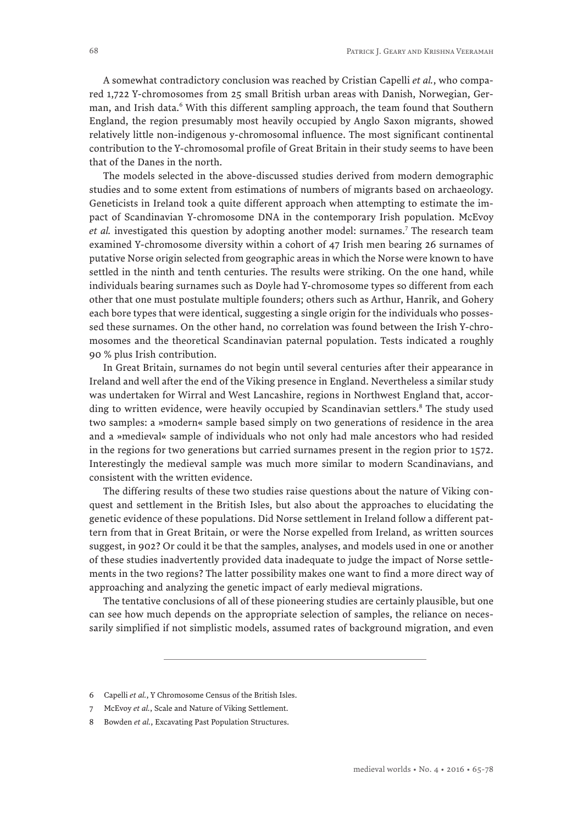A somewhat contradictory conclusion was reached by Cristian Capelli *et al.*, who compared 1,722 Y-chromosomes from 25 small British urban areas with Danish, Norwegian, German, and Irish data.<sup>6</sup> With this different sampling approach, the team found that Southern England, the region presumably most heavily occupied by Anglo Saxon migrants, showed relatively little non-indigenous y-chromosomal influence. The most significant continental contribution to the Y-chromosomal profile of Great Britain in their study seems to have been that of the Danes in the north.

The models selected in the above-discussed studies derived from modern demographic studies and to some extent from estimations of numbers of migrants based on archaeology. Geneticists in Ireland took a quite different approach when attempting to estimate the impact of Scandinavian Y-chromosome DNA in the contemporary Irish population. McEvoy et al. investigated this question by adopting another model: surnames.<sup>7</sup> The research team examined Y-chromosome diversity within a cohort of 47 Irish men bearing 26 surnames of putative Norse origin selected from geographic areas in which the Norse were known to have settled in the ninth and tenth centuries. The results were striking. On the one hand, while individuals bearing surnames such as Doyle had Y-chromosome types so different from each other that one must postulate multiple founders; others such as Arthur, Hanrik, and Gohery each bore types that were identical, suggesting a single origin for the individuals who possessed these surnames. On the other hand, no correlation was found between the Irish Y-chromosomes and the theoretical Scandinavian paternal population. Tests indicated a roughly 90 % plus Irish contribution.

In Great Britain, surnames do not begin until several centuries after their appearance in Ireland and well after the end of the Viking presence in England. Nevertheless a similar study was undertaken for Wirral and West Lancashire, regions in Northwest England that, according to written evidence, were heavily occupied by Scandinavian settlers.<sup>8</sup> The study used two samples: a »modern« sample based simply on two generations of residence in the area and a »medieval« sample of individuals who not only had male ancestors who had resided in the regions for two generations but carried surnames present in the region prior to 1572. Interestingly the medieval sample was much more similar to modern Scandinavians, and consistent with the written evidence.

The differing results of these two studies raise questions about the nature of Viking conquest and settlement in the British Isles, but also about the approaches to elucidating the genetic evidence of these populations. Did Norse settlement in Ireland follow a different pattern from that in Great Britain, or were the Norse expelled from Ireland, as written sources suggest, in 902? Or could it be that the samples, analyses, and models used in one or another of these studies inadvertently provided data inadequate to judge the impact of Norse settlements in the two regions? The latter possibility makes one want to find a more direct way of approaching and analyzing the genetic impact of early medieval migrations.

The tentative conclusions of all of these pioneering studies are certainly plausible, but one can see how much depends on the appropriate selection of samples, the reliance on necessarily simplified if not simplistic models, assumed rates of background migration, and even

<sup>6</sup> Capelli *et al.*, Y Chromosome Census of the British Isles.

<sup>7</sup> McEvoy *et al.*, Scale and Nature of Viking Settlement.

<sup>8</sup> Bowden *et al.*, Excavating Past Population Structures.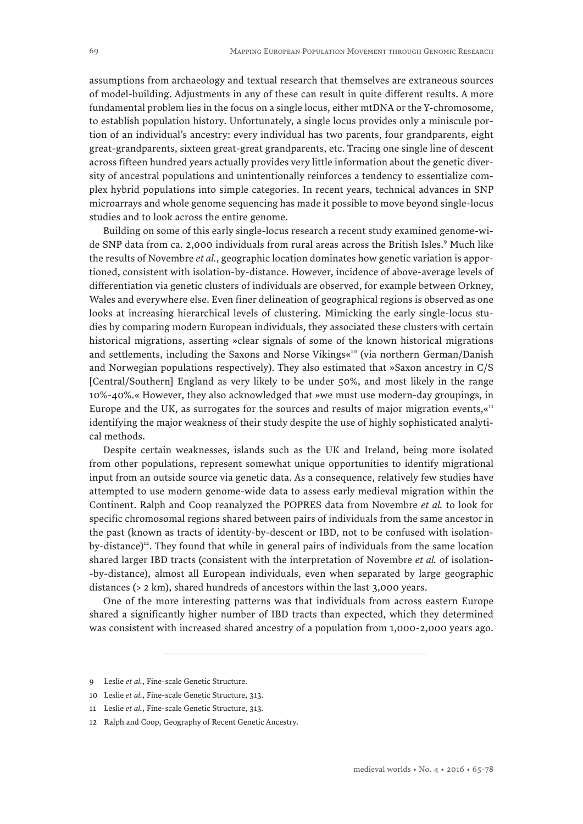assumptions from archaeology and textual research that themselves are extraneous sources of model-building. Adjustments in any of these can result in quite different results. A more fundamental problem lies in the focus on a single locus, either mtDNA or the Y-chromosome, to establish population history. Unfortunately, a single locus provides only a miniscule portion of an individual's ancestry: every individual has two parents, four grandparents, eight great-grandparents, sixteen great-great grandparents, etc. Tracing one single line of descent across fifteen hundred years actually provides very little information about the genetic diversity of ancestral populations and unintentionally reinforces a tendency to essentialize complex hybrid populations into simple categories. In recent years, technical advances in SNP microarrays and whole genome sequencing has made it possible to move beyond single-locus studies and to look across the entire genome.

Building on some of this early single-locus research a recent study examined genome-wide SNP data from ca. 2,000 individuals from rural areas across the British Isles.<sup>9</sup> Much like the results of Novembre *et al.*, geographic location dominates how genetic variation is apportioned, consistent with isolation-by-distance. However, incidence of above-average levels of differentiation via genetic clusters of individuals are observed, for example between Orkney, Wales and everywhere else. Even finer delineation of geographical regions is observed as one looks at increasing hierarchical levels of clustering. Mimicking the early single-locus studies by comparing modern European individuals, they associated these clusters with certain historical migrations, asserting »clear signals of some of the known historical migrations and settlements, including the Saxons and Norse Vikings«<sup>10</sup> (via northern German/Danish and Norwegian populations respectively). They also estimated that »Saxon ancestry in C/S [Central/Southern] England as very likely to be under 50%, and most likely in the range 10%-40%.« However, they also acknowledged that »we must use modern-day groupings, in Europe and the UK, as surrogates for the sources and results of major migration events, $\mathbf{x}^{\text{11}}$ identifying the major weakness of their study despite the use of highly sophisticated analytical methods.

Despite certain weaknesses, islands such as the UK and Ireland, being more isolated from other populations, represent somewhat unique opportunities to identify migrational input from an outside source via genetic data. As a consequence, relatively few studies have attempted to use modern genome-wide data to assess early medieval migration within the Continent. Ralph and Coop reanalyzed the POPRES data from Novembre *et al.* to look for specific chromosomal regions shared between pairs of individuals from the same ancestor in the past (known as tracts of identity-by-descent or IBD, not to be confused with isolationby-distance)<sup>12</sup>. They found that while in general pairs of individuals from the same location shared larger IBD tracts (consistent with the interpretation of Novembre *et al.* of isolation- -by-distance), almost all European individuals, even when separated by large geographic distances (> 2 km), shared hundreds of ancestors within the last 3,000 years.

One of the more interesting patterns was that individuals from across eastern Europe shared a significantly higher number of IBD tracts than expected, which they determined was consistent with increased shared ancestry of a population from 1,000-2,000 years ago.

<sup>9</sup> Leslie *et al.*, Fine-scale Genetic Structure.

<sup>10</sup> Leslie *et al.*, Fine-scale Genetic Structure, 313.

<sup>11</sup> Leslie *et al.*, Fine-scale Genetic Structure, 313.

<sup>12</sup> Ralph and Coop, Geography of Recent Genetic Ancestry.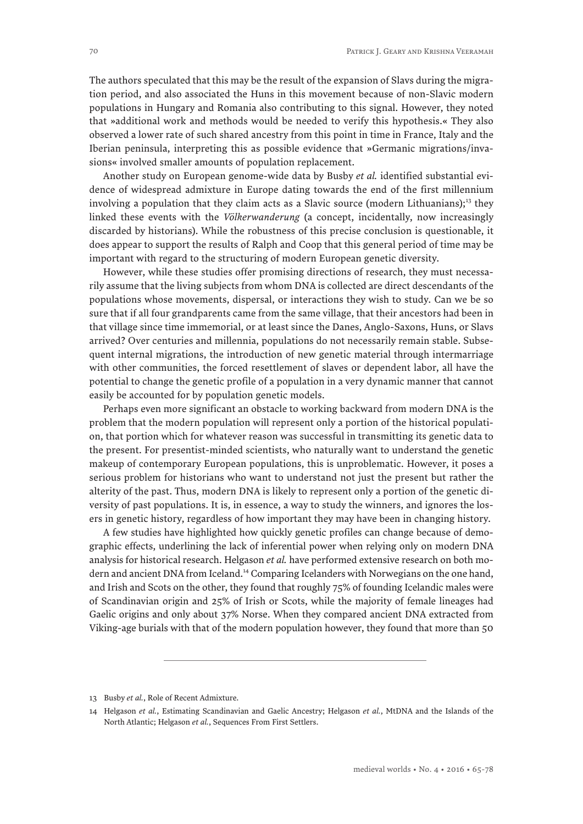The authors speculated that this may be the result of the expansion of Slavs during the migration period, and also associated the Huns in this movement because of non-Slavic modern populations in Hungary and Romania also contributing to this signal. However, they noted that »additional work and methods would be needed to verify this hypothesis.« They also observed a lower rate of such shared ancestry from this point in time in France, Italy and the Iberian peninsula, interpreting this as possible evidence that »Germanic migrations/invasions« involved smaller amounts of population replacement.

Another study on European genome-wide data by Busby *et al.* identified substantial evidence of widespread admixture in Europe dating towards the end of the first millennium involving a population that they claim acts as a Slavic source (modern Lithuanians);<sup>13</sup> they linked these events with the *Völkerwanderung* (a concept, incidentally, now increasingly discarded by historians). While the robustness of this precise conclusion is questionable, it does appear to support the results of Ralph and Coop that this general period of time may be important with regard to the structuring of modern European genetic diversity.

However, while these studies offer promising directions of research, they must necessarily assume that the living subjects from whom DNA is collected are direct descendants of the populations whose movements, dispersal, or interactions they wish to study. Can we be so sure that if all four grandparents came from the same village, that their ancestors had been in that village since time immemorial, or at least since the Danes, Anglo-Saxons, Huns, or Slavs arrived? Over centuries and millennia, populations do not necessarily remain stable. Subsequent internal migrations, the introduction of new genetic material through intermarriage with other communities, the forced resettlement of slaves or dependent labor, all have the potential to change the genetic profile of a population in a very dynamic manner that cannot easily be accounted for by population genetic models.

Perhaps even more significant an obstacle to working backward from modern DNA is the problem that the modern population will represent only a portion of the historical population, that portion which for whatever reason was successful in transmitting its genetic data to the present. For presentist-minded scientists, who naturally want to understand the genetic makeup of contemporary European populations, this is unproblematic. However, it poses a serious problem for historians who want to understand not just the present but rather the alterity of the past. Thus, modern DNA is likely to represent only a portion of the genetic diversity of past populations. It is, in essence, a way to study the winners, and ignores the losers in genetic history, regardless of how important they may have been in changing history.

A few studies have highlighted how quickly genetic profiles can change because of demographic effects, underlining the lack of inferential power when relying only on modern DNA analysis for historical research. Helgason *et al.* have performed extensive research on both modern and ancient DNA from Iceland.14 Comparing Icelanders with Norwegians on the one hand, and Irish and Scots on the other, they found that roughly 75% of founding Icelandic males were of Scandinavian origin and 25% of Irish or Scots, while the majority of female lineages had Gaelic origins and only about 37% Norse. When they compared ancient DNA extracted from Viking-age burials with that of the modern population however, they found that more than 50

<sup>13</sup> Busby *et al.*, Role of Recent Admixture.

<sup>14</sup> Helgason *et al.*, Estimating Scandinavian and Gaelic Ancestry; Helgason *et al.*, MtDNA and the Islands of the North Atlantic; Helgason *et al.*, Sequences From First Settlers.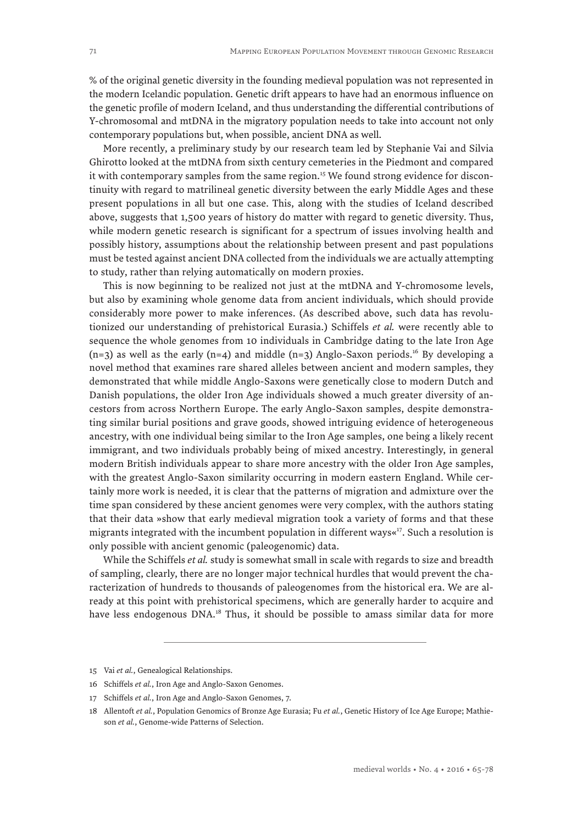% of the original genetic diversity in the founding medieval population was not represented in the modern Icelandic population. Genetic drift appears to have had an enormous influence on the genetic profile of modern Iceland, and thus understanding the differential contributions of Y-chromosomal and mtDNA in the migratory population needs to take into account not only contemporary populations but, when possible, ancient DNA as well.

More recently, a preliminary study by our research team led by Stephanie Vai and Silvia Ghirotto looked at the mtDNA from sixth century cemeteries in the Piedmont and compared it with contemporary samples from the same region.<sup>15</sup> We found strong evidence for discontinuity with regard to matrilineal genetic diversity between the early Middle Ages and these present populations in all but one case. This, along with the studies of Iceland described above, suggests that 1,500 years of history do matter with regard to genetic diversity. Thus, while modern genetic research is significant for a spectrum of issues involving health and possibly history, assumptions about the relationship between present and past populations must be tested against ancient DNA collected from the individuals we are actually attempting to study, rather than relying automatically on modern proxies.

This is now beginning to be realized not just at the mtDNA and Y-chromosome levels, but also by examining whole genome data from ancient individuals, which should provide considerably more power to make inferences. (As described above, such data has revolutionized our understanding of prehistorical Eurasia.) Schiffels *et al.* were recently able to sequence the whole genomes from 10 individuals in Cambridge dating to the late Iron Age  $(n=3)$  as well as the early  $(n=4)$  and middle  $(n=3)$  Anglo-Saxon periods.<sup>16</sup> By developing a novel method that examines rare shared alleles between ancient and modern samples, they demonstrated that while middle Anglo-Saxons were genetically close to modern Dutch and Danish populations, the older Iron Age individuals showed a much greater diversity of ancestors from across Northern Europe. The early Anglo-Saxon samples, despite demonstrating similar burial positions and grave goods, showed intriguing evidence of heterogeneous ancestry, with one individual being similar to the Iron Age samples, one being a likely recent immigrant, and two individuals probably being of mixed ancestry. Interestingly, in general modern British individuals appear to share more ancestry with the older Iron Age samples, with the greatest Anglo-Saxon similarity occurring in modern eastern England. While certainly more work is needed, it is clear that the patterns of migration and admixture over the time span considered by these ancient genomes were very complex, with the authors stating that their data »show that early medieval migration took a variety of forms and that these migrants integrated with the incumbent population in different ways«<sup>17</sup>. Such a resolution is only possible with ancient genomic (paleogenomic) data.

While the Schiffels *et al.* study is somewhat small in scale with regards to size and breadth of sampling, clearly, there are no longer major technical hurdles that would prevent the characterization of hundreds to thousands of paleogenomes from the historical era. We are already at this point with prehistorical specimens, which are generally harder to acquire and have less endogenous DNA.<sup>18</sup> Thus, it should be possible to amass similar data for more

<sup>15</sup> Vai *et al.*, Genealogical Relationships.

<sup>16</sup> Schiffels *et al.*, Iron Age and Anglo-Saxon Genomes.

<sup>17</sup> Schiffels *et al.*, Iron Age and Anglo-Saxon Genomes, 7.

<sup>18</sup> Allentoft *et al.*, Population Genomics of Bronze Age Eurasia; Fu *et al.*, Genetic History of Ice Age Europe; Mathieson *et al.*, Genome-wide Patterns of Selection.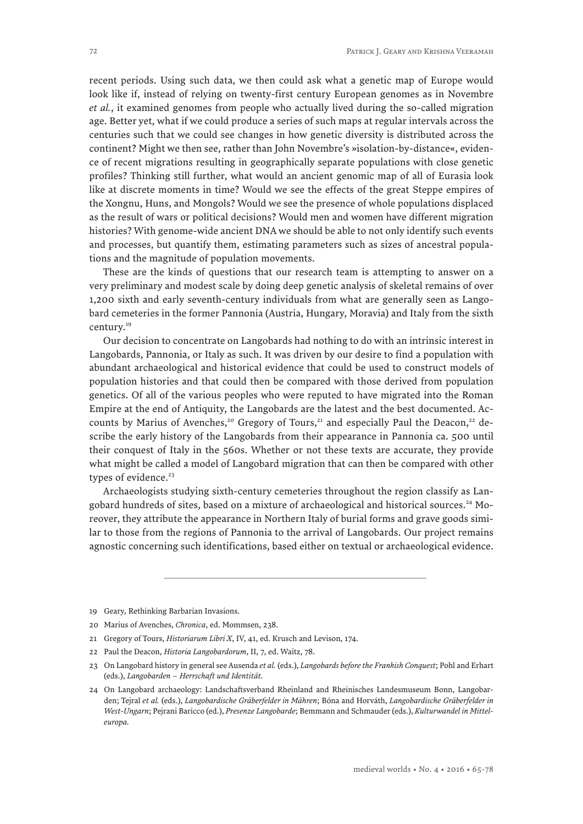recent periods. Using such data, we then could ask what a genetic map of Europe would look like if, instead of relying on twenty-first century European genomes as in Novembre *et al.*, it examined genomes from people who actually lived during the so-called migration age. Better yet, what if we could produce a series of such maps at regular intervals across the centuries such that we could see changes in how genetic diversity is distributed across the continent? Might we then see, rather than John Novembre's »isolation-by-distance«, evidence of recent migrations resulting in geographically separate populations with close genetic profiles? Thinking still further, what would an ancient genomic map of all of Eurasia look like at discrete moments in time? Would we see the effects of the great Steppe empires of the Xongnu, Huns, and Mongols? Would we see the presence of whole populations displaced as the result of wars or political decisions? Would men and women have different migration histories? With genome-wide ancient DNA we should be able to not only identify such events and processes, but quantify them, estimating parameters such as sizes of ancestral populations and the magnitude of population movements.

These are the kinds of questions that our research team is attempting to answer on a very preliminary and modest scale by doing deep genetic analysis of skeletal remains of over 1,200 sixth and early seventh-century individuals from what are generally seen as Langobard cemeteries in the former Pannonia (Austria, Hungary, Moravia) and Italy from the sixth century.<sup>19</sup>

Our decision to concentrate on Langobards had nothing to do with an intrinsic interest in Langobards, Pannonia, or Italy as such. It was driven by our desire to find a population with abundant archaeological and historical evidence that could be used to construct models of population histories and that could then be compared with those derived from population genetics. Of all of the various peoples who were reputed to have migrated into the Roman Empire at the end of Antiquity, the Langobards are the latest and the best documented. Accounts by Marius of Avenches,<sup>20</sup> Gregory of Tours,<sup>21</sup> and especially Paul the Deacon,<sup>22</sup> describe the early history of the Langobards from their appearance in Pannonia ca. 500 until their conquest of Italy in the 560s. Whether or not these texts are accurate, they provide what might be called a model of Langobard migration that can then be compared with other types of evidence.<sup>23</sup>

Archaeologists studying sixth-century cemeteries throughout the region classify as Langobard hundreds of sites, based on a mixture of archaeological and historical sources.24 Moreover, they attribute the appearance in Northern Italy of burial forms and grave goods similar to those from the regions of Pannonia to the arrival of Langobards. Our project remains agnostic concerning such identifications, based either on textual or archaeological evidence.

22 Paul the Deacon, *Historia Langobardorum*, II, 7, ed. Waitz, 78.

<sup>19</sup> Geary, Rethinking Barbarian Invasions.

<sup>20</sup> Marius of Avenches, *Chronica*, ed. Mommsen, 238.

<sup>21</sup> Gregory of Tours, *Historiarum Libri X*, IV, 41, ed. Krusch and Levison, 174.

<sup>23</sup> On Langobard history in general see Ausenda *et al.* (eds.), *Langobards before the Frankish Conquest*; Pohl and Erhart (eds.), *Langobarden – Herrschaft und Identität.*

<sup>24</sup> On Langobard archaeology: Landschaftsverband Rheinland and Rheinisches Landesmuseum Bonn, Langobarden; Tejral *et al.* (eds.), *Langobardische Gräberfelder in Mähren*; Bóna and Horváth, *Langobardische Gräberfelder in West-Ungarn*; Pejrani Baricco (ed.), *Presenze Langobarde*; Bemmann and Schmauder (eds.), *Kulturwandel in Mitteleuropa.*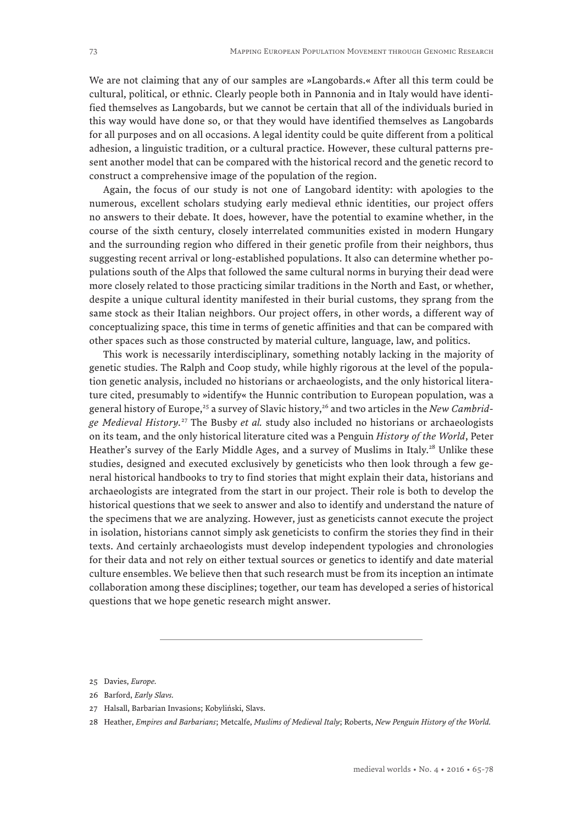We are not claiming that any of our samples are »Langobards.« After all this term could be cultural, political, or ethnic. Clearly people both in Pannonia and in Italy would have identified themselves as Langobards, but we cannot be certain that all of the individuals buried in this way would have done so, or that they would have identified themselves as Langobards for all purposes and on all occasions. A legal identity could be quite different from a political adhesion, a linguistic tradition, or a cultural practice. However, these cultural patterns present another model that can be compared with the historical record and the genetic record to construct a comprehensive image of the population of the region.

Again, the focus of our study is not one of Langobard identity: with apologies to the numerous, excellent scholars studying early medieval ethnic identities, our project offers no answers to their debate. It does, however, have the potential to examine whether, in the course of the sixth century, closely interrelated communities existed in modern Hungary and the surrounding region who differed in their genetic profile from their neighbors, thus suggesting recent arrival or long-established populations. It also can determine whether populations south of the Alps that followed the same cultural norms in burying their dead were more closely related to those practicing similar traditions in the North and East, or whether, despite a unique cultural identity manifested in their burial customs, they sprang from the same stock as their Italian neighbors. Our project offers, in other words, a different way of conceptualizing space, this time in terms of genetic affinities and that can be compared with other spaces such as those constructed by material culture, language, law, and politics.

This work is necessarily interdisciplinary, something notably lacking in the majority of genetic studies. The Ralph and Coop study, while highly rigorous at the level of the population genetic analysis, included no historians or archaeologists, and the only historical literature cited, presumably to »identify« the Hunnic contribution to European population, was a general history of Europe,<sup>25</sup> a survey of Slavic history,<sup>26</sup> and two articles in the *New Cambridge Medieval History.*27 The Busby *et al.* study also included no historians or archaeologists on its team, and the only historical literature cited was a Penguin *History of the World*, Peter Heather's survey of the Early Middle Ages, and a survey of Muslims in Italy.<sup>28</sup> Unlike these studies, designed and executed exclusively by geneticists who then look through a few general historical handbooks to try to find stories that might explain their data, historians and archaeologists are integrated from the start in our project. Their role is both to develop the historical questions that we seek to answer and also to identify and understand the nature of the specimens that we are analyzing. However, just as geneticists cannot execute the project in isolation, historians cannot simply ask geneticists to confirm the stories they find in their texts. And certainly archaeologists must develop independent typologies and chronologies for their data and not rely on either textual sources or genetics to identify and date material culture ensembles. We believe then that such research must be from its inception an intimate collaboration among these disciplines; together, our team has developed a series of historical questions that we hope genetic research might answer.

- 26 Barford, *Early Slavs.*
- 27 Halsall, Barbarian Invasions; Kobyliński, Slavs.
- 28 Heather, *Empires and Barbarians*; Metcalfe, *Muslims of Medieval Italy*; Roberts, *New Penguin History of the World.*

<sup>25</sup> Davies, *Europe.*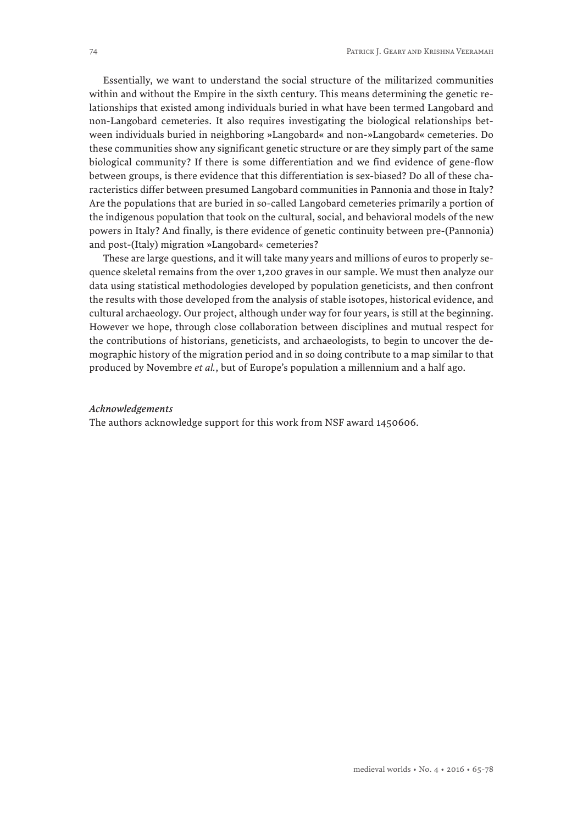Essentially, we want to understand the social structure of the militarized communities within and without the Empire in the sixth century. This means determining the genetic relationships that existed among individuals buried in what have been termed Langobard and non-Langobard cemeteries. It also requires investigating the biological relationships between individuals buried in neighboring »Langobard« and non-»Langobard« cemeteries. Do these communities show any significant genetic structure or are they simply part of the same biological community? If there is some differentiation and we find evidence of gene-flow between groups, is there evidence that this differentiation is sex-biased? Do all of these characteristics differ between presumed Langobard communities in Pannonia and those in Italy? Are the populations that are buried in so-called Langobard cemeteries primarily a portion of the indigenous population that took on the cultural, social, and behavioral models of the new powers in Italy? And finally, is there evidence of genetic continuity between pre-(Pannonia) and post-(Italy) migration »Langobard« cemeteries?

These are large questions, and it will take many years and millions of euros to properly sequence skeletal remains from the over 1,200 graves in our sample. We must then analyze our data using statistical methodologies developed by population geneticists, and then confront the results with those developed from the analysis of stable isotopes, historical evidence, and cultural archaeology. Our project, although under way for four years, is still at the beginning. However we hope, through close collaboration between disciplines and mutual respect for the contributions of historians, geneticists, and archaeologists, to begin to uncover the demographic history of the migration period and in so doing contribute to a map similar to that produced by Novembre *et al.*, but of Europe's population a millennium and a half ago.

#### *Acknowledgements*

The authors acknowledge support for this work from NSF award 1450606.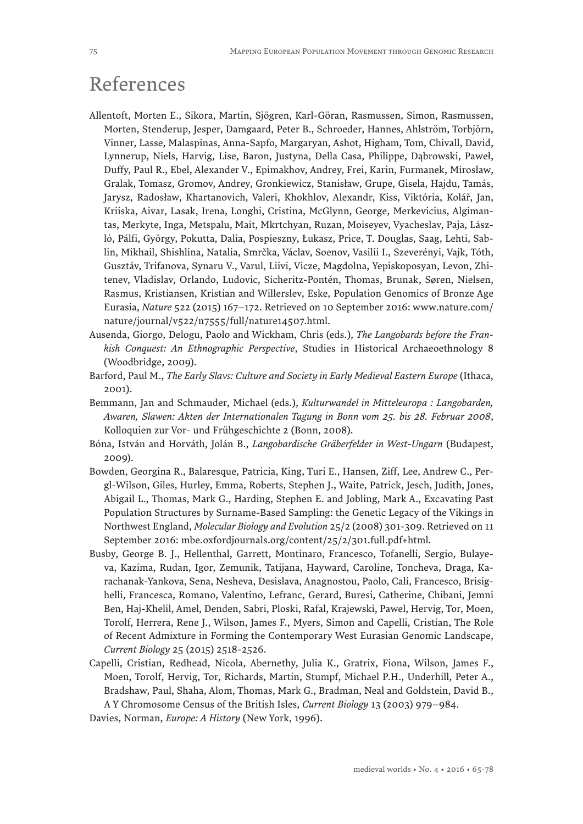## References

- Allentoft, Morten E., Sikora, Martin, Sjögren, Karl-Göran, Rasmussen, Simon, Rasmussen, Morten, Stenderup, Jesper, Damgaard, Peter B., Schroeder, Hannes, Ahlström, Torbjörn, Vinner, Lasse, Malaspinas, Anna-Sapfo, Margaryan, Ashot, Higham, Tom, Chivall, David, Lynnerup, Niels, Harvig, Lise, Baron, Justyna, Della Casa, Philippe, Dąbrowski, Paweł, Duffy, Paul R., Ebel, Alexander V., Epimakhov, Andrey, Frei, Karin, Furmanek, Mirosław, Gralak, Tomasz, Gromov, Andrey, Gronkiewicz, Stanisław, Grupe, Gisela, Hajdu, Tamás, Jarysz, Radosław, Khartanovich, Valeri, Khokhlov, Alexandr, Kiss, Viktória, Kolář, Jan, Kriiska, Aivar, Lasak, Irena, Longhi, Cristina, McGlynn, George, Merkevicius, Algimantas, Merkyte, Inga, Metspalu, Mait, Mkrtchyan, Ruzan, Moiseyev, Vyacheslav, Paja, László, Pálfi, György, Pokutta, Dalia, Pospieszny, Łukasz, Price, T. Douglas, Saag, Lehti, Sablin, Mikhail, Shishlina, Natalia, Smrčka, Václav, Soenov, Vasilii I., Szeverényi, Vajk, Tóth, Gusztáv, Trifanova, Synaru V., Varul, Liivi, Vicze, Magdolna, Yepiskoposyan, Levon, Zhitenev, Vladislav, Orlando, Ludovic, Sicheritz-Pontén, Thomas, Brunak, Søren, Nielsen, Rasmus, Kristiansen, Kristian and Willerslev, Eske, Population Genomics of Bronze Age Eurasia, *Nature* 522 (2015) 167–172. Retrieved on 10 September 2016: www.nature.com/ nature/journal/v522/n7555/full/nature14507.html.
- Ausenda, Giorgo, Delogu, Paolo and Wickham, Chris (eds.), *The Langobards before the Frankish Conquest: An Ethnographic Perspective*, Studies in Historical Archaeoethnology 8 (Woodbridge, 2009).
- Barford, Paul M., *The Early Slavs: Culture and Society in Early Medieval Eastern Europe* (Ithaca, 2001).
- Bemmann, Jan and Schmauder, Michael (eds.), *Kulturwandel in Mitteleuropa : Langobarden, Awaren, Slawen: Akten der Internationalen Tagung in Bonn vom 25. bis 28. Februar 2008*, Kolloquien zur Vor- und Frühgeschichte 2 (Bonn, 2008).
- Bóna, István and Horváth, Jolán B., *Langobardische Gräberfelder in West-Ungarn* (Budapest, 2009).
- Bowden, Georgina R., Balaresque, Patricia, King, Turi E., Hansen, Ziff, Lee, Andrew C., Pergl-Wilson, Giles, Hurley, Emma, Roberts, Stephen J., Waite, Patrick, Jesch, Judith, Jones, Abigail L., Thomas, Mark G., Harding, Stephen E. and Jobling, Mark A., Excavating Past Population Structures by Surname-Based Sampling: the Genetic Legacy of the Vikings in Northwest England, *Molecular Biology and Evolution* 25/2 (2008) 301-309. Retrieved on 11 September 2016: mbe.oxfordjournals.org/content/25/2/301.full.pdf+html.
- Busby, George B. J., Hellenthal, Garrett, Montinaro, Francesco, Tofanelli, Sergio, Bulayeva, Kazima, Rudan, Igor, Zemunik, Tatijana, Hayward, Caroline, Toncheva, Draga, Karachanak-Yankova, Sena, Nesheva, Desislava, Anagnostou, Paolo, Cali, Francesco, Brisighelli, Francesca, Romano, Valentino, Lefranc, Gerard, Buresi, Catherine, Chibani, Jemni Ben, Haj-Khelil, Amel, Denden, Sabri, Ploski, Rafal, Krajewski, Pawel, Hervig, Tor, Moen, Torolf, Herrera, Rene J., Wilson, James F., Myers, Simon and Capelli, Cristian, The Role of Recent Admixture in Forming the Contemporary West Eurasian Genomic Landscape, *Current Biology* 25 (2015) 2518-2526.
- Capelli, Cristian, Redhead, Nicola, Abernethy, Julia K., Gratrix, Fiona, Wilson, James F., Moen, Torolf, Hervig, Tor, Richards, Martin, Stumpf, Michael P.H., Underhill, Peter A., Bradshaw, Paul, Shaha, Alom, Thomas, Mark G., Bradman, Neal and Goldstein, David B., A Y Chromosome Census of the British Isles, *Current Biology* 13 (2003) 979–984.

Davies, Norman, *Europe: A History* (New York, 1996).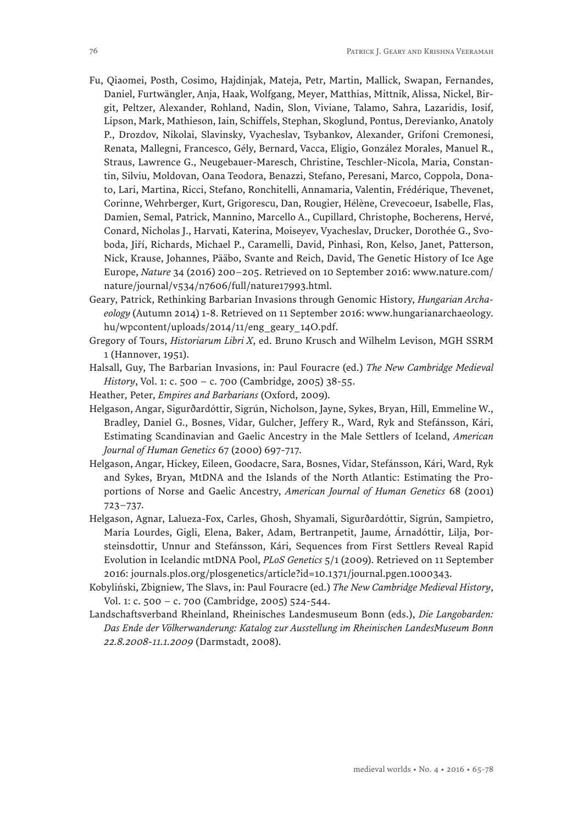- Fu, Qiaomei, Posth, Cosimo, Hajdinjak, Mateja, Petr, Martin, Mallick, Swapan, Fernandes, Daniel, Furtwängler, Anja, Haak, Wolfgang, Meyer, Matthias, Mittnik, Alissa, Nickel, Birgit, Peltzer, Alexander, Rohland, Nadin, Slon, Viviane, Talamo, Sahra, Lazaridis, Iosif, Lipson, Mark, Mathieson, Iain, Schiffels, Stephan, Skoglund, Pontus, Derevianko, Anatoly P., Drozdov, Nikolai, Slavinsky, Vyacheslav, Tsybankov, Alexander, Grifoni Cremonesi, Renata, Mallegni, Francesco, Gély, Bernard, Vacca, Eligio, González Morales, Manuel R., Straus, Lawrence G., Neugebauer-Maresch, Christine, Teschler-Nicola, Maria, Constantin, Silviu, Moldovan, Oana Teodora, Benazzi, Stefano, Peresani, Marco, Coppola, Donato, Lari, Martina, Ricci, Stefano, Ronchitelli, Annamaria, Valentin, Frédérique, Thevenet, Corinne, Wehrberger, Kurt, Grigorescu, Dan, Rougier, Hélène, Crevecoeur, Isabelle, Flas, Damien, Semal, Patrick, Mannino, Marcello A., Cupillard, Christophe, Bocherens, Hervé, Conard, Nicholas J., Harvati, Katerina, Moiseyev, Vyacheslav, Drucker, Dorothée G., Svoboda, Jiří, Richards, Michael P., Caramelli, David, Pinhasi, Ron, Kelso, Janet, Patterson, Nick, Krause, Johannes, Pääbo, Svante and Reich, David, The Genetic History of Ice Age Europe, *Nature* 34 (2016) 200–205. Retrieved on 10 September 2016: www.nature.com/ nature/journal/v534/n7606/full/nature17993.html.
- Geary, Patrick, Rethinking Barbarian Invasions through Genomic History, *Hungarian Archaeology* (Autumn 2014) 1-8. Retrieved on 11 September 2016: www.hungarianarchaeology. hu/wpcontent/uploads/2014/11/eng\_geary\_14O.pdf.
- Gregory of Tours, *Historiarum Libri X*, ed. Bruno Krusch and Wilhelm Levison, MGH SSRM 1 (Hannover, 1951).
- Halsall, Guy, The Barbarian Invasions, in: Paul Fouracre (ed.) *The New Cambridge Medieval History*, Vol. 1: c. 500 – c. 700 (Cambridge, 2005) 38-55.
- Heather, Peter, *Empires and Barbarians* (Oxford, 2009).
- Helgason, Angar, Sigurðardóttir, Sigrún, Nicholson, Jayne, Sykes, Bryan, Hill, Emmeline W., Bradley, Daniel G., Bosnes, Vidar, Gulcher, Jeffery R., Ward, Ryk and Stefánsson, Kári, Estimating Scandinavian and Gaelic Ancestry in the Male Settlers of Iceland, *American Journal of Human Genetics* 67 (2000) 697-717.
- Helgason, Angar, Hickey, Eileen, Goodacre, Sara, Bosnes, Vidar, Stefánsson, Kári, Ward, Ryk and Sykes, Bryan, MtDNA and the Islands of the North Atlantic: Estimating the Proportions of Norse and Gaelic Ancestry, *American Journal of Human Genetics* 68 (2001) 723–737.
- Helgason, Agnar, Lalueza-Fox, Carles, Ghosh, Shyamali, Sigurðardóttir, Sigrún, Sampietro, Maria Lourdes, Gigli, Elena, Baker, Adam, Bertranpetit, Jaume, Árnadóttir, Lilja, Þorsteinsdottir, Unnur and Stefánsson, Kári, Sequences from First Settlers Reveal Rapid Evolution in Icelandic mtDNA Pool, *PLoS Genetics* 5/1 (2009). Retrieved on 11 September 2016: journals.plos.org/plosgenetics/article?id=10.1371/journal.pgen.1000343.
- Kobyliński, Zbigniew, The Slavs, in: Paul Fouracre (ed.) *The New Cambridge Medieval History*, Vol. 1: c. 500 – c. 700 (Cambridge, 2005) 524-544.
- Landschaftsverband Rheinland, Rheinisches Landesmuseum Bonn (eds.), *Die Langobarden: Das Ende der Völkerwanderung: Katalog zur Ausstellung im Rheinischen LandesMuseum Bonn 22.8.2008-11.1.2009* (Darmstadt, 2008).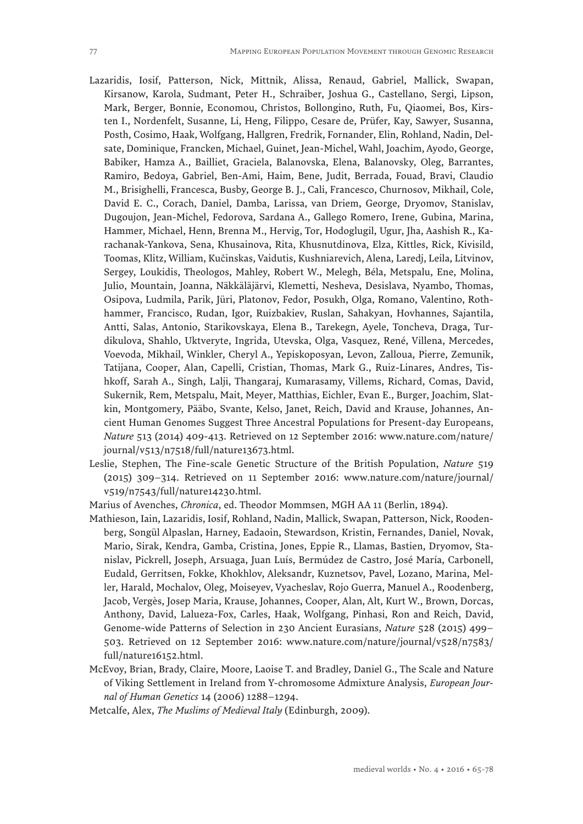- Lazaridis, Iosif, Patterson, Nick, Mittnik, Alissa, Renaud, Gabriel, Mallick, Swapan, Kirsanow, Karola, Sudmant, Peter H., Schraiber, Joshua G., Castellano, Sergi, Lipson, Mark, Berger, Bonnie, Economou, Christos, Bollongino, Ruth, Fu, Qiaomei, Bos, Kirsten I., Nordenfelt, Susanne, Li, Heng, Filippo, Cesare de, Prüfer, Kay, Sawyer, Susanna, Posth, Cosimo, Haak, Wolfgang, Hallgren, Fredrik, Fornander, Elin, Rohland, Nadin, Delsate, Dominique, Francken, Michael, Guinet, Jean-Michel, Wahl, Joachim, Ayodo, George, Babiker, Hamza A., Bailliet, Graciela, Balanovska, Elena, Balanovsky, Oleg, Barrantes, Ramiro, Bedoya, Gabriel, Ben-Ami, Haim, Bene, Judit, Berrada, Fouad, Bravi, Claudio M., Brisighelli, Francesca, Busby, George B. J., Cali, Francesco, Churnosov, Mikhail, Cole, David E. C., Corach, Daniel, Damba, Larissa, van Driem, George, Dryomov, Stanislav, Dugoujon, Jean-Michel, Fedorova, Sardana A., Gallego Romero, Irene, Gubina, Marina, Hammer, Michael, Henn, Brenna M., Hervig, Tor, Hodoglugil, Ugur, Jha, Aashish R., Karachanak-Yankova, Sena, Khusainova, Rita, Khusnutdinova, Elza, Kittles, Rick, Kivisild, Toomas, Klitz, William, Kučinskas, Vaidutis, Kushniarevich, Alena, Laredj, Leila, Litvinov, Sergey, Loukidis, Theologos, Mahley, Robert W., Melegh, Béla, Metspalu, Ene, Molina, Julio, Mountain, Joanna, Näkkäläjärvi, Klemetti, Nesheva, Desislava, Nyambo, Thomas, Osipova, Ludmila, Parik, Jüri, Platonov, Fedor, Posukh, Olga, Romano, Valentino, Rothhammer, Francisco, Rudan, Igor, Ruizbakiev, Ruslan, Sahakyan, Hovhannes, Sajantila, Antti, Salas, Antonio, Starikovskaya, Elena B., Tarekegn, Ayele, Toncheva, Draga, Turdikulova, Shahlo, Uktveryte, Ingrida, Utevska, Olga, Vasquez, René, Villena, Mercedes, Voevoda, Mikhail, Winkler, Cheryl A., Yepiskoposyan, Levon, Zalloua, Pierre, Zemunik, Tatijana, Cooper, Alan, Capelli, Cristian, Thomas, Mark G., Ruiz-Linares, Andres, Tishkoff, Sarah A., Singh, Lalji, Thangaraj, Kumarasamy, Villems, Richard, Comas, David, Sukernik, Rem, Metspalu, Mait, Meyer, Matthias, Eichler, Evan E., Burger, Joachim, Slatkin, Montgomery, Pääbo, Svante, Kelso, Janet, Reich, David and Krause, Johannes, Ancient Human Genomes Suggest Three Ancestral Populations for Present-day Europeans, *Nature* 513 (2014) 409-413. Retrieved on 12 September 2016: www.nature.com/nature/ journal/v513/n7518/full/nature13673.html.
- Leslie, Stephen, The Fine-scale Genetic Structure of the British Population, *Nature* 519 (2015) 309–314. Retrieved on 11 September 2016: www.nature.com/nature/journal/ v519/n7543/full/nature14230.html.

Marius of Avenches, *Chronica*, ed. Theodor Mommsen, MGH AA 11 (Berlin, 1894).

- Mathieson, Iain, Lazaridis, Iosif, Rohland, Nadin, Mallick, Swapan, Patterson, Nick, Roodenberg, Songül Alpaslan, Harney, Eadaoin, Stewardson, Kristin, Fernandes, Daniel, Novak, Mario, Sirak, Kendra, Gamba, Cristina, Jones, Eppie R., Llamas, Bastien, Dryomov, Stanislav, Pickrell, Joseph, Arsuaga, Juan Luís, Bermúdez de Castro, José María, Carbonell, Eudald, Gerritsen, Fokke, Khokhlov, Aleksandr, Kuznetsov, Pavel, Lozano, Marina, Meller, Harald, Mochalov, Oleg, Moiseyev, Vyacheslav, Rojo Guerra, Manuel A., Roodenberg, Jacob, Vergès, Josep Maria, Krause, Johannes, Cooper, Alan, Alt, Kurt W., Brown, Dorcas, Anthony, David, Lalueza-Fox, Carles, Haak, Wolfgang, Pinhasi, Ron and Reich, David, Genome-wide Patterns of Selection in 230 Ancient Eurasians, *Nature* 528 (2015) 499– 503. Retrieved on 12 September 2016: www.nature.com/nature/journal/v528/n7583/ full/nature16152.html.
- McEvoy, Brian, Brady, Claire, Moore, Laoise T. and Bradley, Daniel G., The Scale and Nature of Viking Settlement in Ireland from Y-chromosome Admixture Analysis, *European Journal of Human Genetics* 14 (2006) 1288–1294.
- Metcalfe, Alex, *The Muslims of Medieval Italy* (Edinburgh, 2009).